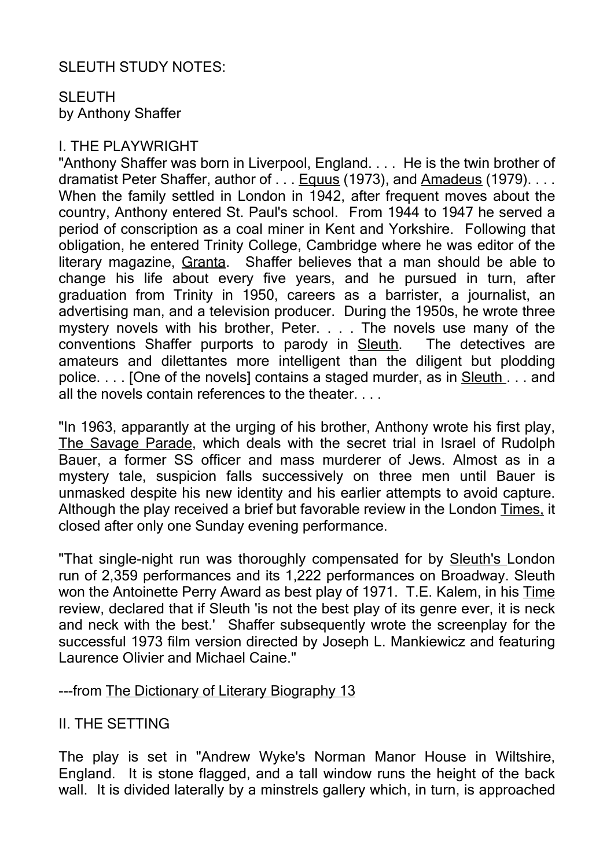#### SLEUTH STUDY NOTES:

### SLEUTH by Anthony Shaffer

#### I. THE PLAYWRIGHT

"Anthony Shaffer was born in Liverpool, England. . . . He is the twin brother of dramatist Peter Shaffer, author of . . . Equus (1973), and Amadeus (1979). . . . When the family settled in London in 1942, after frequent moves about the country, Anthony entered St. Paul's school. From 1944 to 1947 he served a period of conscription as a coal miner in Kent and Yorkshire. Following that obligation, he entered Trinity College, Cambridge where he was editor of the literary magazine, Granta. Shaffer believes that a man should be able to change his life about every five years, and he pursued in turn, after graduation from Trinity in 1950, careers as a barrister, a journalist, an advertising man, and a television producer. During the 1950s, he wrote three mystery novels with his brother, Peter. . . . The novels use many of the conventions Shaffer purports to parody in Sleuth. The detectives are amateurs and dilettantes more intelligent than the diligent but plodding police. . . . [One of the novels] contains a staged murder, as in Sleuth . . . and all the novels contain references to the theater.

"In 1963, apparantly at the urging of his brother, Anthony wrote his first play, The Savage Parade, which deals with the secret trial in Israel of Rudolph Bauer, a former SS officer and mass murderer of Jews. Almost as in a mystery tale, suspicion falls successively on three men until Bauer is unmasked despite his new identity and his earlier attempts to avoid capture. Although the play received a brief but favorable review in the London Times, it closed after only one Sunday evening performance.

"That single-night run was thoroughly compensated for by Sleuth's London run of 2,359 performances and its 1,222 performances on Broadway. Sleuth won the Antoinette Perry Award as best play of 1971. T.E. Kalem, in his Time review, declared that if Sleuth 'is not the best play of its genre ever, it is neck and neck with the best.' Shaffer subsequently wrote the screenplay for the successful 1973 film version directed by Joseph L. Mankiewicz and featuring Laurence Olivier and Michael Caine."

#### ---from The Dictionary of Literary Biography 13

#### II. THE SETTING

The play is set in "Andrew Wyke's Norman Manor House in Wiltshire, England. It is stone flagged, and a tall window runs the height of the back wall. It is divided laterally by a minstrels gallery which, in turn, is approached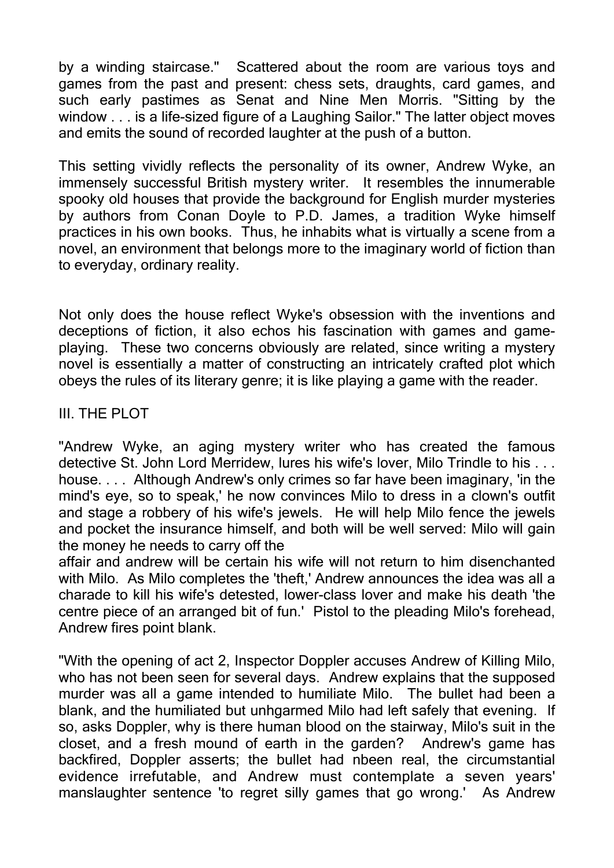by a winding staircase." Scattered about the room are various toys and games from the past and present: chess sets, draughts, card games, and such early pastimes as Senat and Nine Men Morris. "Sitting by the window . . . is a life-sized figure of a Laughing Sailor." The latter object moves and emits the sound of recorded laughter at the push of a button.

This setting vividly reflects the personality of its owner, Andrew Wyke, an immensely successful British mystery writer. It resembles the innumerable spooky old houses that provide the background for English murder mysteries by authors from Conan Doyle to P.D. James, a tradition Wyke himself practices in his own books. Thus, he inhabits what is virtually a scene from a novel, an environment that belongs more to the imaginary world of fiction than to everyday, ordinary reality.

Not only does the house reflect Wyke's obsession with the inventions and deceptions of fiction, it also echos his fascination with games and gameplaying. These two concerns obviously are related, since writing a mystery novel is essentially a matter of constructing an intricately crafted plot which obeys the rules of its literary genre; it is like playing a game with the reader.

## III. THE PLOT

"Andrew Wyke, an aging mystery writer who has created the famous detective St. John Lord Merridew, lures his wife's lover, Milo Trindle to his . . . house. . . . Although Andrew's only crimes so far have been imaginary, 'in the mind's eye, so to speak,' he now convinces Milo to dress in a clown's outfit and stage a robbery of his wife's jewels. He will help Milo fence the jewels and pocket the insurance himself, and both will be well served: Milo will gain the money he needs to carry off the

affair and andrew will be certain his wife will not return to him disenchanted with Milo. As Milo completes the 'theft,' Andrew announces the idea was all a charade to kill his wife's detested, lower-class lover and make his death 'the centre piece of an arranged bit of fun.' Pistol to the pleading Milo's forehead, Andrew fires point blank.

"With the opening of act 2, Inspector Doppler accuses Andrew of Killing Milo, who has not been seen for several days. Andrew explains that the supposed murder was all a game intended to humiliate Milo. The bullet had been a blank, and the humiliated but unhgarmed Milo had left safely that evening. If so, asks Doppler, why is there human blood on the stairway, Milo's suit in the closet, and a fresh mound of earth in the garden? Andrew's game has backfired, Doppler asserts; the bullet had nbeen real, the circumstantial evidence irrefutable, and Andrew must contemplate a seven years' manslaughter sentence 'to regret silly games that go wrong.' As Andrew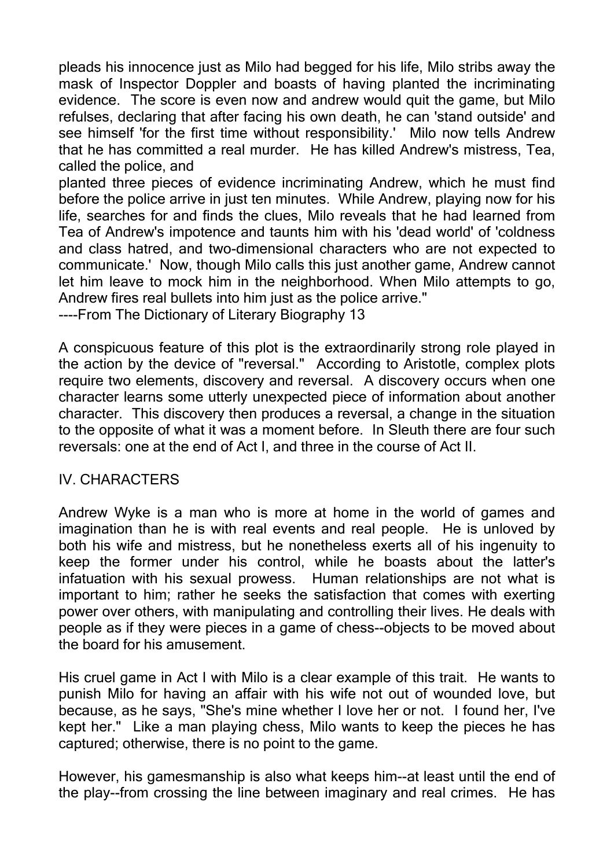pleads his innocence just as Milo had begged for his life, Milo stribs away the mask of Inspector Doppler and boasts of having planted the incriminating evidence. The score is even now and andrew would quit the game, but Milo refulses, declaring that after facing his own death, he can 'stand outside' and see himself 'for the first time without responsibility.' Milo now tells Andrew that he has committed a real murder. He has killed Andrew's mistress, Tea, called the police, and

planted three pieces of evidence incriminating Andrew, which he must find before the police arrive in just ten minutes. While Andrew, playing now for his life, searches for and finds the clues, Milo reveals that he had learned from Tea of Andrew's impotence and taunts him with his 'dead world' of 'coldness and class hatred, and two-dimensional characters who are not expected to communicate.' Now, though Milo calls this just another game, Andrew cannot let him leave to mock him in the neighborhood. When Milo attempts to go, Andrew fires real bullets into him just as the police arrive."

----From The Dictionary of Literary Biography 13

A conspicuous feature of this plot is the extraordinarily strong role played in the action by the device of "reversal." According to Aristotle, complex plots require two elements, discovery and reversal. A discovery occurs when one character learns some utterly unexpected piece of information about another character. This discovery then produces a reversal, a change in the situation to the opposite of what it was a moment before. In Sleuth there are four such reversals: one at the end of Act I, and three in the course of Act II.

#### IV. CHARACTERS

Andrew Wyke is a man who is more at home in the world of games and imagination than he is with real events and real people. He is unloved by both his wife and mistress, but he nonetheless exerts all of his ingenuity to keep the former under his control, while he boasts about the latter's infatuation with his sexual prowess. Human relationships are not what is important to him; rather he seeks the satisfaction that comes with exerting power over others, with manipulating and controlling their lives. He deals with people as if they were pieces in a game of chess--objects to be moved about the board for his amusement.

His cruel game in Act I with Milo is a clear example of this trait. He wants to punish Milo for having an affair with his wife not out of wounded love, but because, as he says, "She's mine whether I love her or not. I found her, I've kept her." Like a man playing chess, Milo wants to keep the pieces he has captured; otherwise, there is no point to the game.

However, his gamesmanship is also what keeps him--at least until the end of the play--from crossing the line between imaginary and real crimes. He has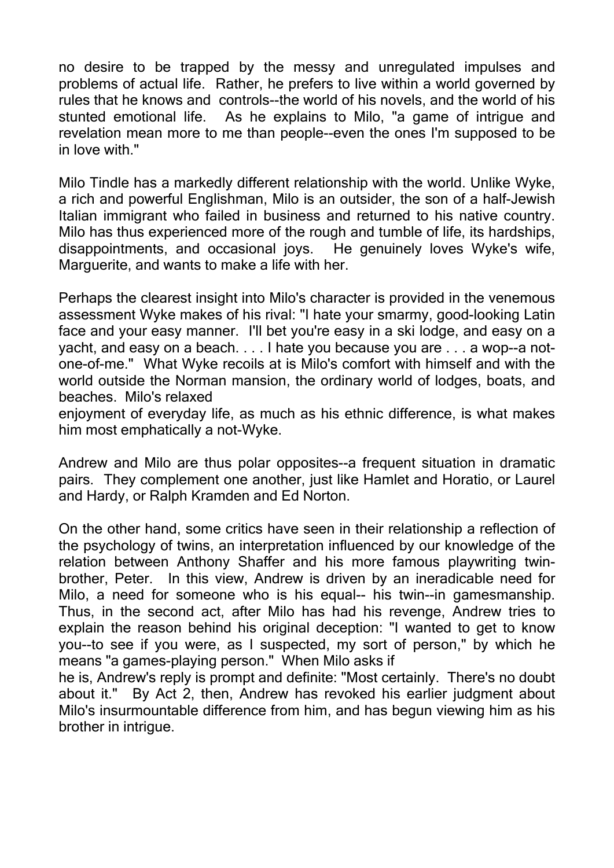no desire to be trapped by the messy and unregulated impulses and problems of actual life. Rather, he prefers to live within a world governed by rules that he knows and controls--the world of his novels, and the world of his stunted emotional life. As he explains to Milo, "a game of intrigue and revelation mean more to me than people--even the ones I'm supposed to be in love with."

Milo Tindle has a markedly different relationship with the world. Unlike Wyke, a rich and powerful Englishman, Milo is an outsider, the son of a half-Jewish Italian immigrant who failed in business and returned to his native country. Milo has thus experienced more of the rough and tumble of life, its hardships, disappointments, and occasional joys. He genuinely loves Wyke's wife, Marguerite, and wants to make a life with her.

Perhaps the clearest insight into Milo's character is provided in the venemous assessment Wyke makes of his rival: "I hate your smarmy, good-looking Latin face and your easy manner. I'll bet you're easy in a ski lodge, and easy on a yacht, and easy on a beach. . . . I hate you because you are . . . a wop--a notone-of-me." What Wyke recoils at is Milo's comfort with himself and with the world outside the Norman mansion, the ordinary world of lodges, boats, and beaches. Milo's relaxed

enjoyment of everyday life, as much as his ethnic difference, is what makes him most emphatically a not-Wyke.

Andrew and Milo are thus polar opposites--a frequent situation in dramatic pairs. They complement one another, just like Hamlet and Horatio, or Laurel and Hardy, or Ralph Kramden and Ed Norton.

On the other hand, some critics have seen in their relationship a reflection of the psychology of twins, an interpretation influenced by our knowledge of the relation between Anthony Shaffer and his more famous playwriting twinbrother, Peter. In this view, Andrew is driven by an ineradicable need for Milo, a need for someone who is his equal-- his twin--in gamesmanship. Thus, in the second act, after Milo has had his revenge, Andrew tries to explain the reason behind his original deception: "I wanted to get to know you--to see if you were, as I suspected, my sort of person," by which he means "a games-playing person." When Milo asks if

he is, Andrew's reply is prompt and definite: "Most certainly. There's no doubt about it." By Act 2, then, Andrew has revoked his earlier judgment about Milo's insurmountable difference from him, and has begun viewing him as his brother in intrigue.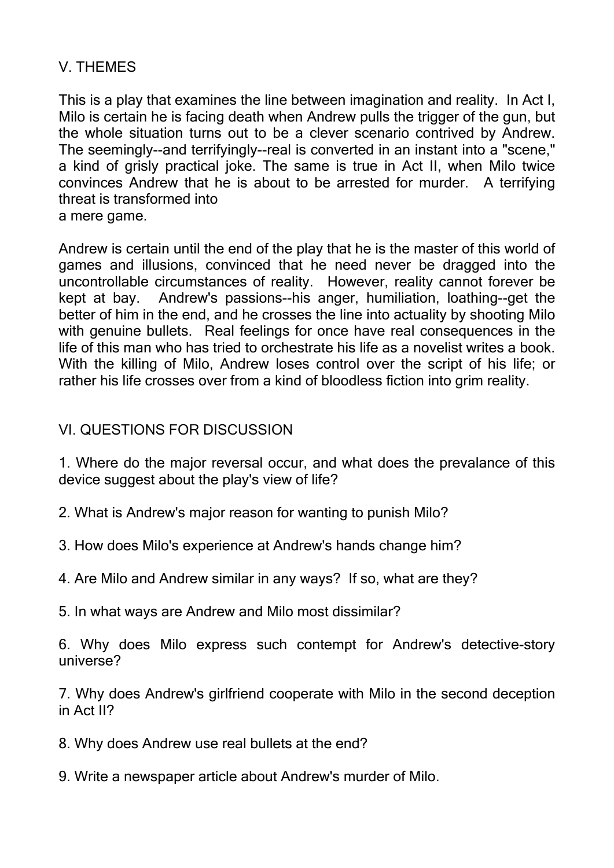# V. THEMES

This is a play that examines the line between imagination and reality. In Act I, Milo is certain he is facing death when Andrew pulls the trigger of the gun, but the whole situation turns out to be a clever scenario contrived by Andrew. The seemingly--and terrifyingly--real is converted in an instant into a "scene," a kind of grisly practical joke. The same is true in Act II, when Milo twice convinces Andrew that he is about to be arrested for murder. A terrifying threat is transformed into a mere game.

Andrew is certain until the end of the play that he is the master of this world of games and illusions, convinced that he need never be dragged into the uncontrollable circumstances of reality. However, reality cannot forever be kept at bay. Andrew's passions--his anger, humiliation, loathing--get the better of him in the end, and he crosses the line into actuality by shooting Milo with genuine bullets. Real feelings for once have real consequences in the life of this man who has tried to orchestrate his life as a novelist writes a book. With the killing of Milo, Andrew loses control over the script of his life; or rather his life crosses over from a kind of bloodless fiction into grim reality.

# VI. QUESTIONS FOR DISCUSSION

1. Where do the major reversal occur, and what does the prevalance of this device suggest about the play's view of life?

- 2. What is Andrew's major reason for wanting to punish Milo?
- 3. How does Milo's experience at Andrew's hands change him?
- 4. Are Milo and Andrew similar in any ways? If so, what are they?
- 5. In what ways are Andrew and Milo most dissimilar?

6. Why does Milo express such contempt for Andrew's detective-story universe?

7. Why does Andrew's girlfriend cooperate with Milo in the second deception in Act II?

- 8. Why does Andrew use real bullets at the end?
- 9. Write a newspaper article about Andrew's murder of Milo.